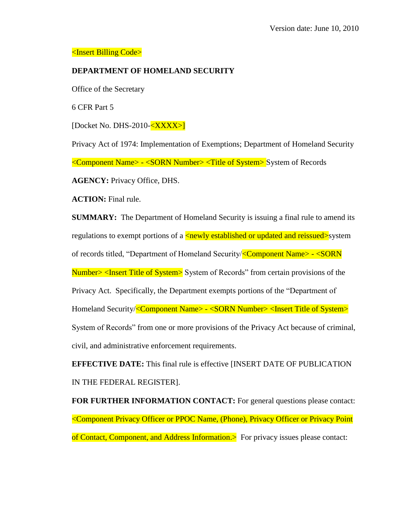## <Insert Billing Code>

# **DEPARTMENT OF HOMELAND SECURITY**

Office of the Secretary

6 CFR Part 5

[Docket No. DHS-2010-<XXXX>]

Privacy Act of 1974: Implementation of Exemptions; Department of Homeland Security <Component Name> - <SORN Number> <Title of System> System of Records

**AGENCY:** Privacy Office, DHS.

**ACTION:** Final rule.

**SUMMARY:** The Department of Homeland Security is issuing a final rule to amend its regulations to exempt portions of a  $\langle$ newly established or updated and reissued>system of records titled, "Department of Homeland Security/<Component Name> - <SORN Number> <Insert Title of System> System of Records" from certain provisions of the Privacy Act. Specifically, the Department exempts portions of the "Department of Homeland Security/<Component Name> - <SORN Number> <Insert Title of System> System of Records" from one or more provisions of the Privacy Act because of criminal, civil, and administrative enforcement requirements.

**EFFECTIVE DATE:** This final rule is effective [INSERT DATE OF PUBLICATION IN THE FEDERAL REGISTER].

**FOR FURTHER INFORMATION CONTACT:** For general questions please contact: <Component Privacy Officer or PPOC Name, (Phone), Privacy Officer or Privacy Point of Contact, Component, and Address Information.> For privacy issues please contact: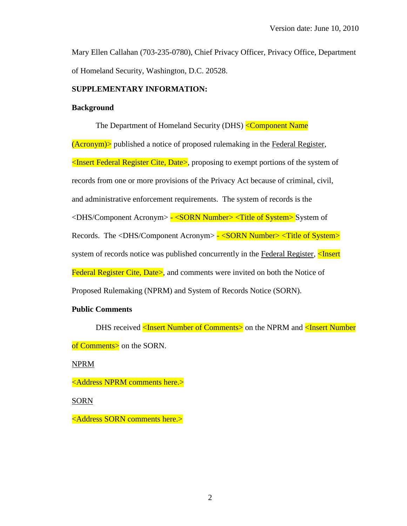Mary Ellen Callahan (703-235-0780), Chief Privacy Officer, Privacy Office, Department of Homeland Security, Washington, D.C. 20528.

### **SUPPLEMENTARY INFORMATION:**

#### **Background**

The Department of Homeland Security (DHS) <Component Name (Acronym)> published a notice of proposed rulemaking in the Federal Register, <Insert Federal Register Cite, Date>, proposing to exempt portions of the system of records from one or more provisions of the Privacy Act because of criminal, civil, and administrative enforcement requirements. The system of records is the <DHS/Component Acronym> - <SORN Number> <Title of System> System of Records. The <DHS/Component Acronym> - <SORN Number> <Title of System> system of records notice was published concurrently in the Federal Register, <Insert Federal Register Cite, Date>, and comments were invited on both the Notice of Proposed Rulemaking (NPRM) and System of Records Notice (SORN).

## **Public Comments**

DHS received <Insert Number of Comments> on the NPRM and <Insert Number of Comments> on the SORN.

NPRM

<Address NPRM comments here.>

SORN

<Address SORN comments here.>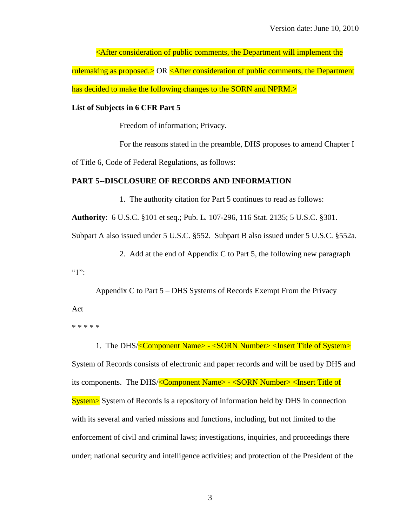<After consideration of public comments, the Department will implement the rulemaking as proposed.> OR <After consideration of public comments, the Department has decided to make the following changes to the SORN and NPRM.>

#### **List of Subjects in 6 CFR Part 5**

Freedom of information; Privacy.

For the reasons stated in the preamble, DHS proposes to amend Chapter I

of Title 6, Code of Federal Regulations, as follows:

## **PART 5--DISCLOSURE OF RECORDS AND INFORMATION**

1. The authority citation for Part 5 continues to read as follows:

**Authority**: 6 U.S.C. §101 et seq.; Pub. L. 107-296, 116 Stat. 2135; 5 U.S.C. §301.

Subpart A also issued under 5 U.S.C. §552. Subpart B also issued under 5 U.S.C. §552a.

2. Add at the end of Appendix C to Part 5, the following new paragraph

 $(1"$ 

Appendix C to Part 5 – DHS Systems of Records Exempt From the Privacy Act

\* \* \* \* \*

1. The DHS/<Component Name> - <SORN Number> <Insert Title of System>

System of Records consists of electronic and paper records and will be used by DHS and its components. The DHS/<Component Name> - <SORN Number> <Insert Title of System> System of Records is a repository of information held by DHS in connection with its several and varied missions and functions, including, but not limited to the enforcement of civil and criminal laws; investigations, inquiries, and proceedings there under; national security and intelligence activities; and protection of the President of the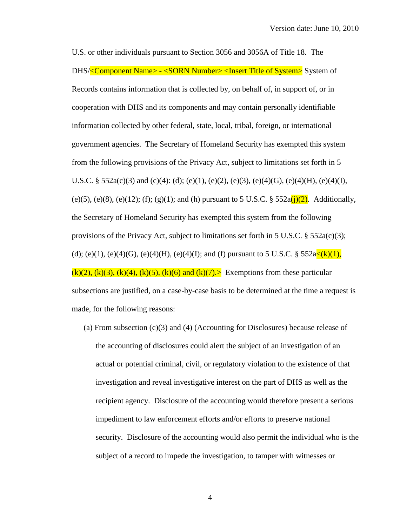U.S. or other individuals pursuant to Section 3056 and 3056A of Title 18. The DHS/<Component Name> - <SORN Number><Insert Title of System> System of Records contains information that is collected by, on behalf of, in support of, or in cooperation with DHS and its components and may contain personally identifiable information collected by other federal, state, local, tribal, foreign, or international government agencies. The Secretary of Homeland Security has exempted this system from the following provisions of the Privacy Act, subject to limitations set forth in 5 U.S.C. § 552a(c)(3) and (c)(4): (d); (e)(1), (e)(2), (e)(3), (e)(4)(G), (e)(4)(H), (e)(4)(I), (e)(5), (e)(8), (e)(12); (f); (g)(1); and (h) pursuant to 5 U.S.C. §  $552a(j)(2)$ . Additionally, the Secretary of Homeland Security has exempted this system from the following provisions of the Privacy Act, subject to limitations set forth in 5 U.S.C.  $\S$  552a(c)(3); (d); (e)(1), (e)(4)(G), (e)(4)(H), (e)(4)(I); and (f) pursuant to 5 U.S.C. §  $552a\langle k\rangle(1)$ ,  $(k)(2)$ ,  $(k)(3)$ ,  $(k)(4)$ ,  $(k)(5)$ ,  $(k)(6)$  and  $(k)(7)$ . Exemptions from these particular subsections are justified, on a case-by-case basis to be determined at the time a request is made, for the following reasons:

(a) From subsection (c)(3) and (4) (Accounting for Disclosures) because release of the accounting of disclosures could alert the subject of an investigation of an actual or potential criminal, civil, or regulatory violation to the existence of that investigation and reveal investigative interest on the part of DHS as well as the recipient agency. Disclosure of the accounting would therefore present a serious impediment to law enforcement efforts and/or efforts to preserve national security. Disclosure of the accounting would also permit the individual who is the subject of a record to impede the investigation, to tamper with witnesses or

4 4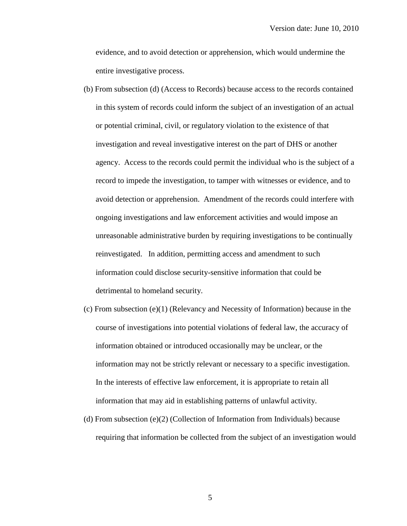evidence, and to avoid detection or apprehension, which would undermine the entire investigative process.

- (b) From subsection (d) (Access to Records) because access to the records contained in this system of records could inform the subject of an investigation of an actual or potential criminal, civil, or regulatory violation to the existence of that investigation and reveal investigative interest on the part of DHS or another agency. Access to the records could permit the individual who is the subject of a record to impede the investigation, to tamper with witnesses or evidence, and to avoid detection or apprehension. Amendment of the records could interfere with ongoing investigations and law enforcement activities and would impose an unreasonable administrative burden by requiring investigations to be continually reinvestigated. In addition, permitting access and amendment to such information could disclose security-sensitive information that could be detrimental to homeland security.
- $(c)$  From subsection  $(e)(1)$  (Relevancy and Necessity of Information) because in the course of investigations into potential violations of federal law, the accuracy of information obtained or introduced occasionally may be unclear, or the information may not be strictly relevant or necessary to a specific investigation. In the interests of effective law enforcement, it is appropriate to retain all information that may aid in establishing patterns of unlawful activity.
- (d) From subsection (e)(2) (Collection of Information from Individuals) because requiring that information be collected from the subject of an investigation would

5 5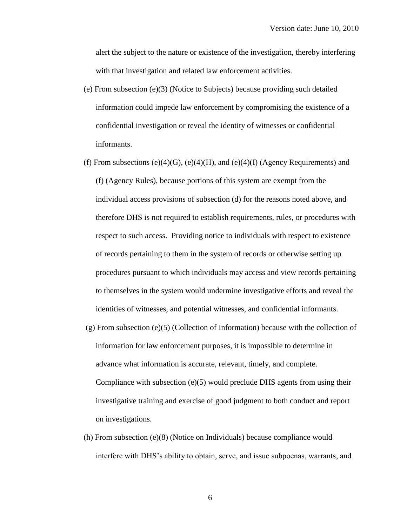alert the subject to the nature or existence of the investigation, thereby interfering with that investigation and related law enforcement activities.

- (e) From subsection (e)(3) (Notice to Subjects) because providing such detailed information could impede law enforcement by compromising the existence of a confidential investigation or reveal the identity of witnesses or confidential informants.
- (f) From subsections (e)(4)(G), (e)(4)(H), and (e)(4)(I) (Agency Requirements) and (f) (Agency Rules), because portions of this system are exempt from the individual access provisions of subsection (d) for the reasons noted above, and therefore DHS is not required to establish requirements, rules, or procedures with respect to such access. Providing notice to individuals with respect to existence of records pertaining to them in the system of records or otherwise setting up procedures pursuant to which individuals may access and view records pertaining to themselves in the system would undermine investigative efforts and reveal the identities of witnesses, and potential witnesses, and confidential informants.
- $(g)$  From subsection  $(e)(5)$  (Collection of Information) because with the collection of information for law enforcement purposes, it is impossible to determine in advance what information is accurate, relevant, timely, and complete. Compliance with subsection  $(e)(5)$  would preclude DHS agents from using their investigative training and exercise of good judgment to both conduct and report on investigations.
- (h) From subsection (e)(8) (Notice on Individuals) because compliance would interfere with DHS's ability to obtain, serve, and issue subpoenas, warrants, and

6 6